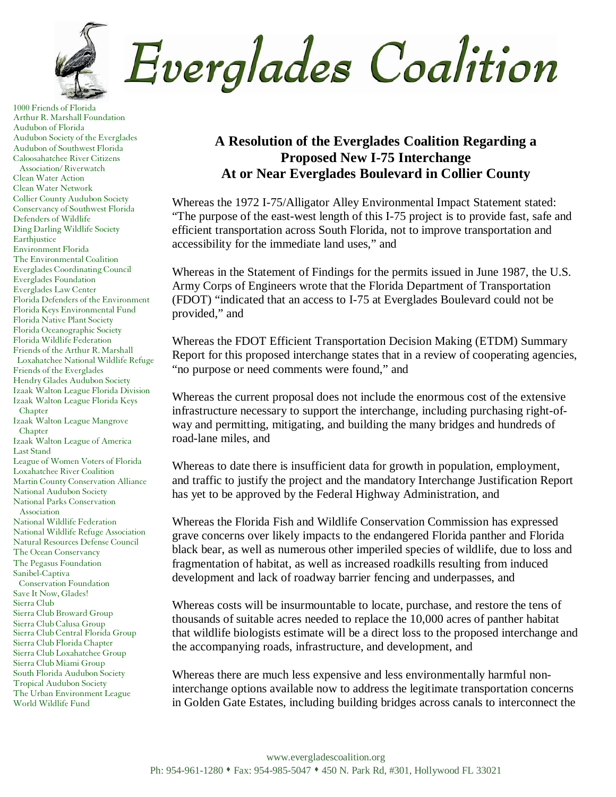

1000 Friends of Florida Arthur R. Marshall Foundation Audubon of Florida Audubon Society of the Everglades Audubon of Southwest Florida Caloosahatchee River Citizens Association/ Riverwatch Clean Water Action Clean Water Network Collier County Audubon Society Conservancy of Southwest Florida Defenders of Wildlife Ding Darling Wildlife Society Earthjustice Environment Florida The Environmental Coalition Everglades Coordinating Council Everglades Foundation Everglades Law Center Florida Defenders of the Environment Florida Keys Environmental Fund Florida Native Plant Society Florida Oceanographic Society Florida Wildlife Federation Friends of the Arthur R. Marshall Loxahatchee National Wildlife Refuge Friends of the Everglades Hendry Glades Audubon Society Izaak Walton League Florida Division Izaak Walton League Florida Keys Chapter Izaak Walton League Mangrove Chapter Izaak Walton League of America Last Stand League of Women Voters of Florida Loxahatchee River Coalition Martin County Conservation Alliance National Audubon Society National Parks Conservation Association National Wildlife Federation National Wildlife Refuge Association Natural Resources Defense Council The Ocean Conservancy The Pegasus Foundation Sanibel-Captiva Conservation Foundation Save It Now, Glades! Sierra Club Sierra Club Broward Group Sierra Club Calusa Group Sierra Club Central Florida Group Sierra Club Florida Chapter Sierra Club Loxahatchee Group Sierra Club Miami Group South Florida Audubon Society Tropical Audubon Society The Urban Environment League World Wildlife Fund

## **A Resolution of the Everglades Coalition Regarding a Proposed New I-75 Interchange At or Near Everglades Boulevard in Collier County**

Whereas the 1972 I-75/Alligator Alley Environmental Impact Statement stated: "The purpose of the east-west length of this I-75 project is to provide fast, safe and efficient transportation across South Florida, not to improve transportation and accessibility for the immediate land uses," and

Whereas in the Statement of Findings for the permits issued in June 1987, the U.S. Army Corps of Engineers wrote that the Florida Department of Transportation (FDOT) "indicated that an access to I-75 at Everglades Boulevard could not be provided," and

Whereas the FDOT Efficient Transportation Decision Making (ETDM) Summary Report for this proposed interchange states that in a review of cooperating agencies, "no purpose or need comments were found," and

Whereas the current proposal does not include the enormous cost of the extensive infrastructure necessary to support the interchange, including purchasing right-ofway and permitting, mitigating, and building the many bridges and hundreds of road-lane miles, and

Whereas to date there is insufficient data for growth in population, employment, and traffic to justify the project and the mandatory Interchange Justification Report has yet to be approved by the Federal Highway Administration, and

Whereas the Florida Fish and Wildlife Conservation Commission has expressed grave concerns over likely impacts to the endangered Florida panther and Florida black bear, as well as numerous other imperiled species of wildlife, due to loss and fragmentation of habitat, as well as increased roadkills resulting from induced development and lack of roadway barrier fencing and underpasses, and

Whereas costs will be insurmountable to locate, purchase, and restore the tens of thousands of suitable acres needed to replace the 10,000 acres of panther habitat that wildlife biologists estimate will be a direct loss to the proposed interchange and the accompanying roads, infrastructure, and development, and

Whereas there are much less expensive and less environmentally harmful noninterchange options available now to address the legitimate transportation concerns in Golden Gate Estates, including building bridges across canals to interconnect the